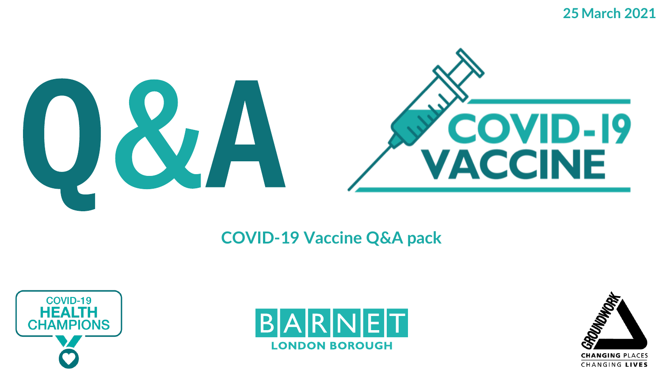**25 March 2021**



### **COVID-19 Vaccine Q&A pack**





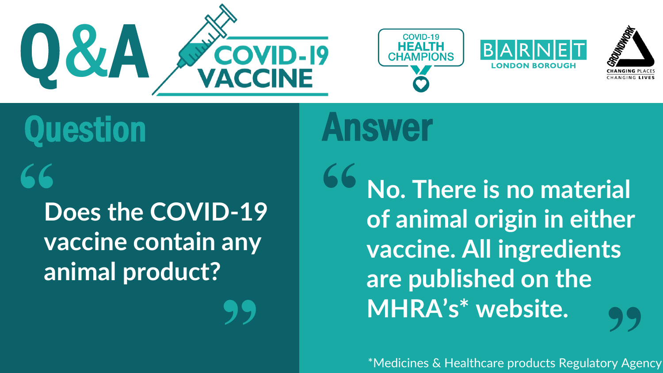







### **Does the COVID-19 vaccine contain any animal product? "**

**"**

**No. There is no material of animal origin in either vaccine. All ingredients are published on the MHRA's\* website. "** MHRA's\* Website.<br>
\*Medicines & Healthcare products Regulatory Agency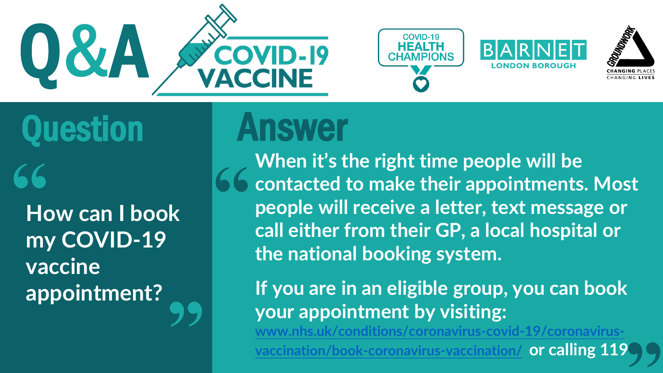

### **COVID-19 HEALT**





# Question Answer

**How can I book my COVID-19 vaccine appointment?** 66<br>Hd **"**

**When it's the right time people will be contacted to make their appointments. Most people will receive a letter, text message or call either from their GP, a local hospital or the national booking system. "**

**If you are in an eligible group, you can book your appointment by visiting:** 

**[www.nhs.uk/conditions/coronavirus-covid-19/coronavirus-](http://www.nhs.uk/conditions/coronavirus-covid-19/coronavirus-vaccination/book-coronavirus-vaccination/)**

**vaccination/book-coronavirus-vaccination/ or calling 119 "**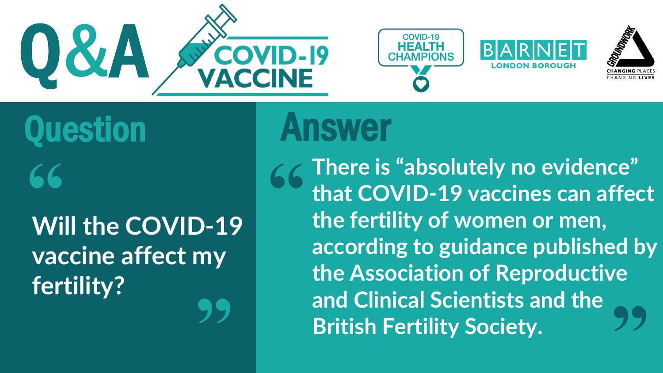







Question Answer 66<br>Wi

**Will the COVID-19 vaccine affect my fertility? "**

**There is "absolutely no evidence" that COVID-19 vaccines can affect the fertility of women or men, according to guidance published by the Association of Reproductive and Clinical Scientists and the British Fertility Society. " "**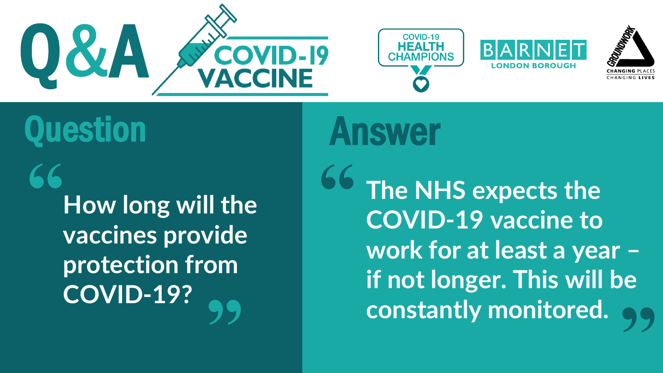







**How long will the vaccines provide protection from COVID-19? " "**

**The NHS expects the COVID-19 vaccine to work for at least a year – if not longer. This will be constantly monitored. " "**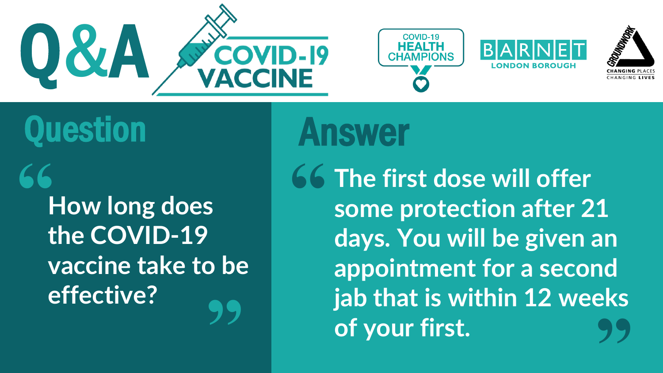







**How long does the COVID-19 vaccine take to be effective? " "**

**The first dose will offer some protection after 21 days. You will be given an appointment for a second jab that is within 12 weeks of your first. " "**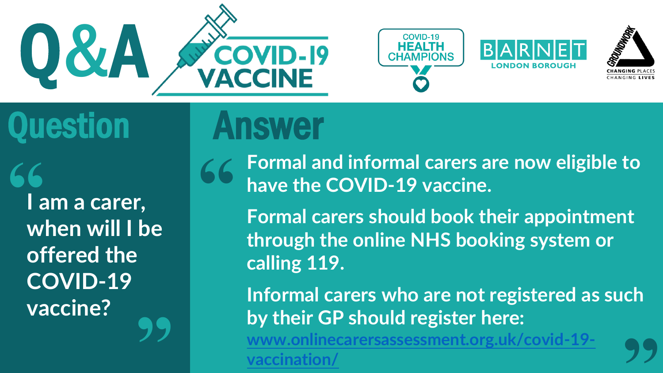







**I am a carer, when will I be offered the COVID-19 vaccine?** 66<br>|-<br>| W **"**

**Formal and informal carers are now eligible to have the COVID-19 vaccine. "**

**Formal carers should book their appointment through the online NHS booking system or calling 119.**

**Informal carers who are not registered as such by their GP should register here: [www.onlinecarersassessment.org.uk/covid-19-](http://www.onlinecarersassessment.org.uk/covid-19-vaccination/) "**

**vaccination/**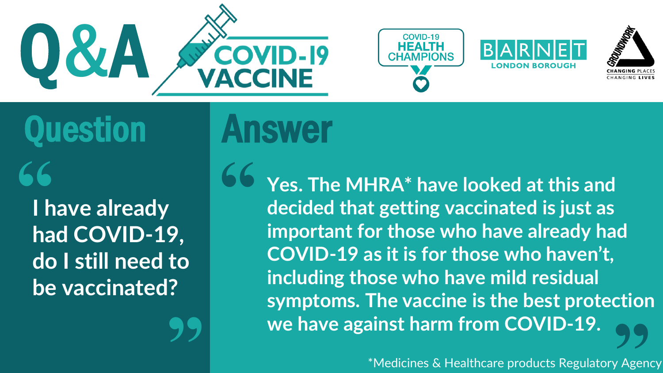

**"**







Question Answer **"**

**I have already had COVID-19, do I still need to be vaccinated?**

**Yes. The MHRA\* have looked at this and decided that getting vaccinated is just as important for those who have already had COVID-19 as it is for those who haven't, including those who have mild residual symptoms. The vaccine is the best protection we have against harm from COVID-19. " 99**<br>y Agen

\*Medicines & Healthcare products Regulatory Agency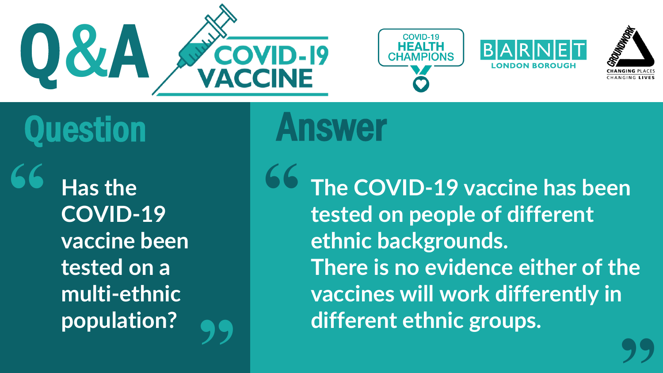

**"**







### Question Answer

**Has the COVID-19 vaccine been tested on a multi-ethnic population? "**

**The COVID-19 vaccine has been tested on people of different ethnic backgrounds. There is no evidence either of the vaccines will work differently in different ethnic groups. " "**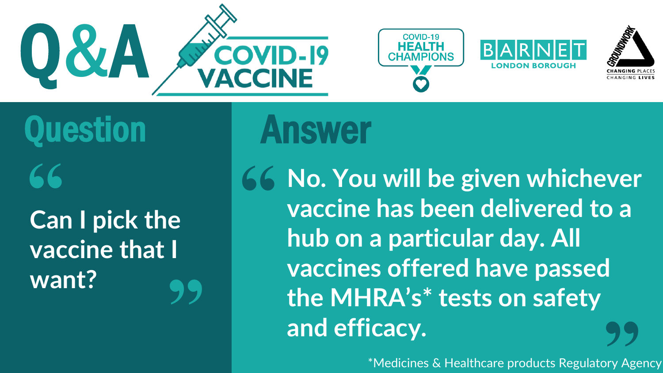







**Can I pick the** Question Answer

**vaccine that I want? "**

**No. You will be given whichever vaccine has been delivered to a hub on a particular day. All vaccines offered have passed the MHRA's\* tests on safety and efficacy. " 99**<br>Pry Age

\*Medicines & Healthcare products Regulatory Agency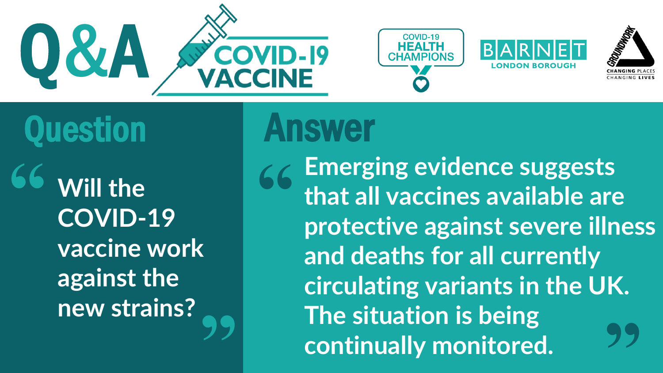







**Will the COVID-19 vaccine work against the new strains? " "**

**Emerging evidence suggests that all vaccines available are protective against severe illness and deaths for all currently circulating variants in the UK. The situation is being continually monitored. " "**